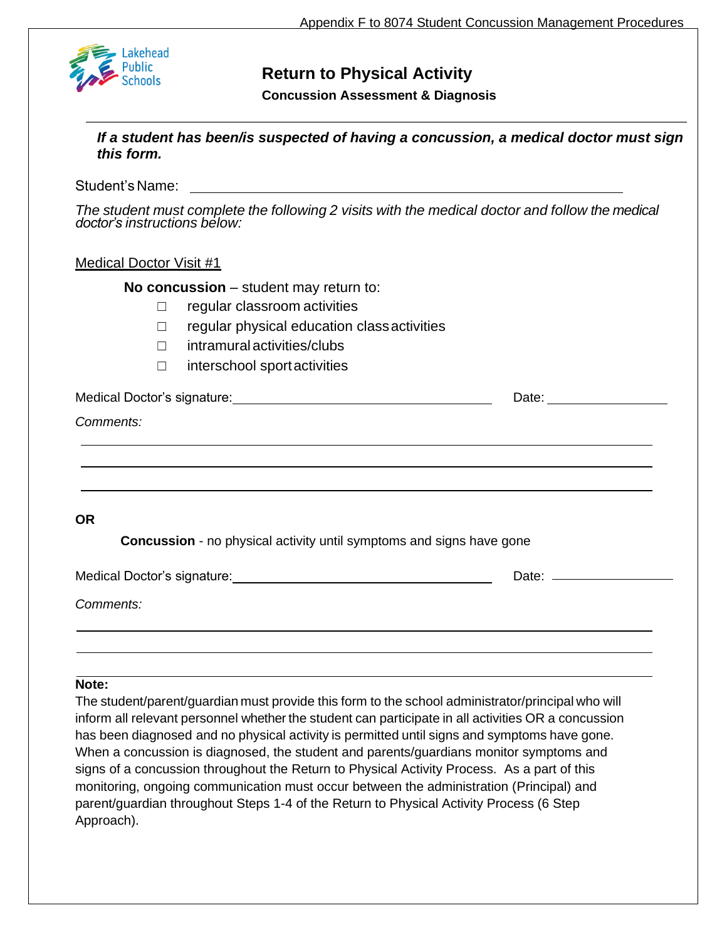

# **Return to Physical Activity**

**Concussion Assessment & Diagnosis**

*If a student has been/is suspected of having a concussion, a medical doctor must sign this form.*

Student's Name:

*The student must complete the following 2 visits with the medical doctor and follow the medical doctor's instructions below:*

## Medical Doctor Visit #1

**No concussion** – student may return to:

- □ regular classroom activities
- ☐ regular physical education classactivities
- ☐ intramuralactivities/clubs
- ☐ interschool sportactivities

| Medical Doctor's signature: | Date: |
|-----------------------------|-------|
| Comments:                   |       |
|                             |       |
|                             |       |

## **OR**

**Concussion** - no physical activity until symptoms and signs have gone

| Medical Doctor's signature: | Date: |
|-----------------------------|-------|
| Comments:                   |       |

### **Note:**

The student/parent/guardian must provide this form to the school administrator/principal who will inform all relevant personnel whether the student can participate in all activities OR a concussion has been diagnosed and no physical activity is permitted until signs and symptoms have gone. When a concussion is diagnosed, the student and parents/guardians monitor symptoms and signs of a concussion throughout the Return to Physical Activity Process. As a part of this monitoring, ongoing communication must occur between the administration (Principal) and parent/guardian throughout Steps 1-4 of the Return to Physical Activity Process (6 Step Approach).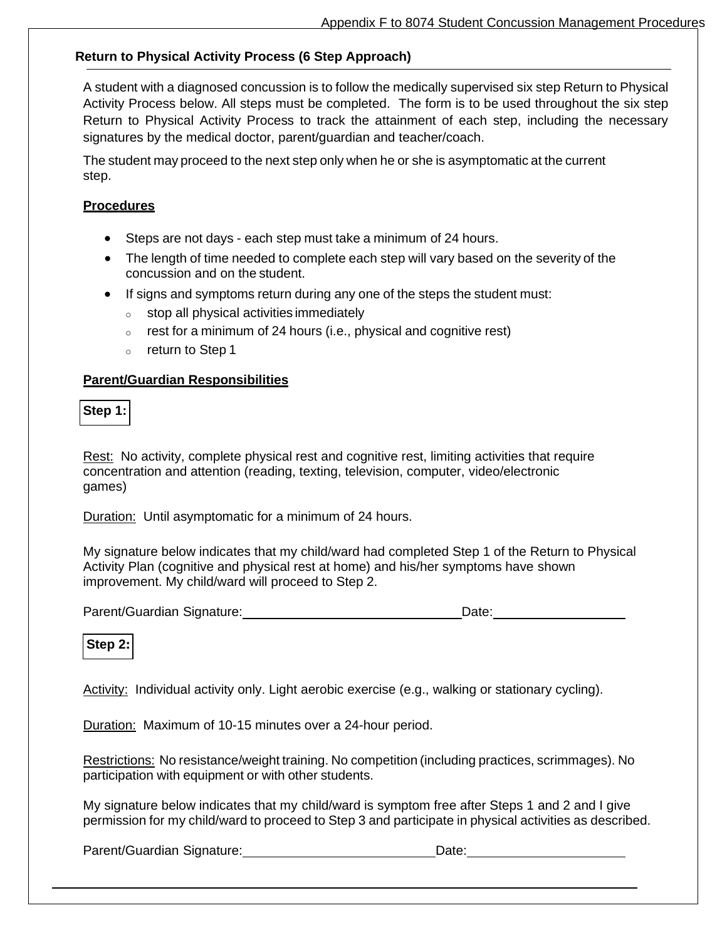## **Return to Physical Activity Process (6 Step Approach)**

A student with a diagnosed concussion is to follow the medically supervised six step Return to Physical Activity Process below. All steps must be completed. The form is to be used throughout the six step Return to Physical Activity Process to track the attainment of each step, including the necessary signatures by the medical doctor, parent/guardian and teacher/coach.

The student may proceed to the next step only when he or she is asymptomatic at the current step.

### **Procedures**

- Steps are not days each step must take a minimum of 24 hours.
- The length of time needed to complete each step will vary based on the severity of the concussion and on the student.
- If signs and symptoms return during any one of the steps the student must:
	- o stop all physical activities immediately
	- $\circ$  rest for a minimum of 24 hours (i.e., physical and cognitive rest)
	- o return to Step 1

#### **Parent/Guardian Responsibilities**

**Step 1:**

Rest: No activity, complete physical rest and cognitive rest, limiting activities that require concentration and attention (reading, texting, television, computer, video/electronic games)

Duration: Until asymptomatic for a minimum of 24 hours.

My signature below indicates that my child/ward had completed Step 1 of the Return to Physical Activity Plan (cognitive and physical rest at home) and his/her symptoms have shown improvement. My child/ward will proceed to Step 2.

Parent/Guardian Signature: Date: Date:

**Step 2:**

Activity: Individual activity only. Light aerobic exercise (e.g., walking or stationary cycling).

Duration: Maximum of 10-15 minutes over a 24-hour period.

Restrictions: No resistance/weight training. No competition (including practices, scrimmages). No participation with equipment or with other students.

My signature below indicates that my child/ward is symptom free after Steps 1 and 2 and I give permission for my child/ward to proceed to Step 3 and participate in physical activities as described.

Parent/Guardian Signature: Date: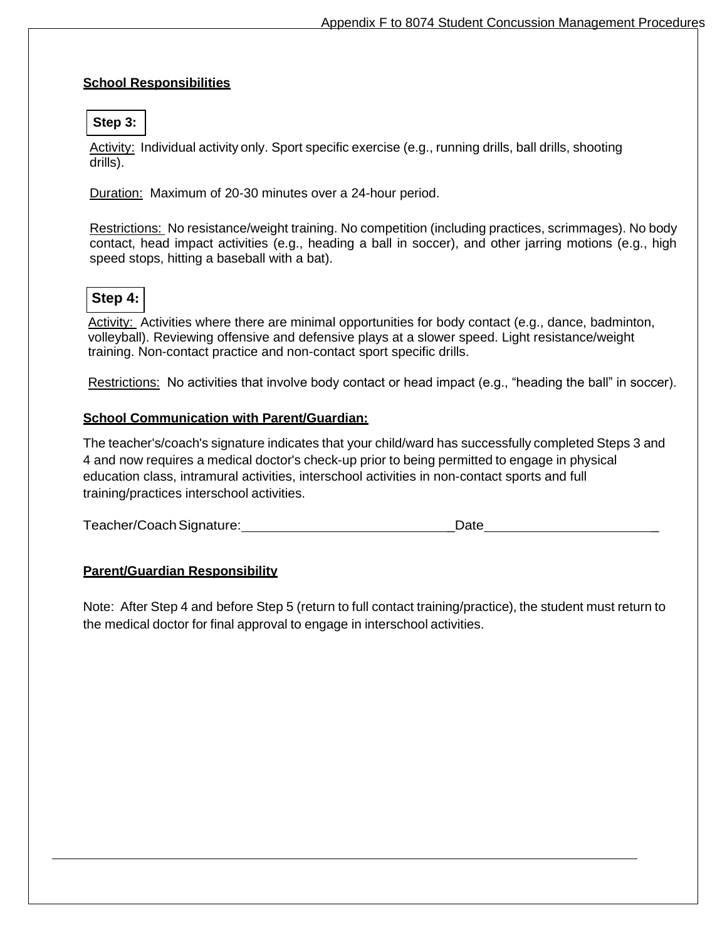## **School Responsibilities**

## **Step 3:**

Activity: Individual activity only. Sport specific exercise (e.g., running drills, ball drills, shooting drills).

Duration: Maximum of 20-30 minutes over a 24-hour period.

Restrictions: No resistance/weight training. No competition (including practices, scrimmages). No body contact, head impact activities (e.g., heading a ball in soccer), and other jarring motions (e.g., high speed stops, hitting a baseball with a bat).

## **Step 4:**

Activity: Activities where there are minimal opportunities for body contact (e.g., dance, badminton, volleyball). Reviewing offensive and defensive plays at a slower speed. Light resistance/weight training. Non-contact practice and non-contact sport specific drills.

Restrictions: No activities that involve body contact or head impact (e.g., "heading the ball" in soccer).

## **School Communication with Parent/Guardian:**

The teacher's/coach's signature indicates that your child/ward has successfully completed Steps 3 and 4 and now requires a medical doctor's check-up prior to being permitted to engage in physical education class, intramural activities, interschool activities in non-contact sports and full training/practices interschool activities.

Teacher/Coach Signature: **We can also construct that the construct of the construction** Date

## **Parent/Guardian Responsibility**

Note: After Step 4 and before Step 5 (return to full contact training/practice), the student must return to the medical doctor for final approval to engage in interschool activities.